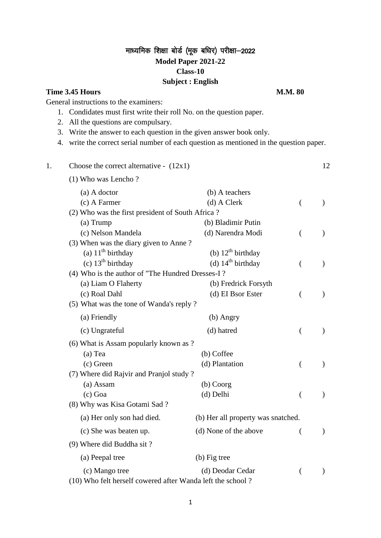## माध्यमिक शिक्षा बोर्ड (मूक बधिर) परीक्षा-2022 **Model Paper 2021-22 Class-10 Subject : English**

### **Time 3.45 Hours M.M. 80**

General instructions to the examiners:

- 1. Condidates must first write their roll No. on the question paper.
- 2. All the questions are compulsary.
- 3. Write the answer to each question in the given answer book only.
- 4. write the correct serial number of each question as mentioned in the question paper.

1. Choose the correct alternative -  $(12x1)$  12

# (1) Who was Lencho ? (a) A doctor (b) A teachers (c) A Farmer (d) A Clerk ( ) (2) Who was the first president of South Africa ? (a) Trump (b) Bladimir Putin (c) Nelson Mandela (d) Narendra Modi ( ) (3) When was the diary given to Anne ? (a)  $11^{\text{th}}$  birthday (b)  $12^{\text{th}}$  birthday (c)  $13^{\text{th}}$  birthday (d)  $14^{\text{th}}$  birthday (d)  $14<sup>th</sup>$  birthday ( ) (4) Who is the author of "The Hundred Dresses-I ? (a) Liam O Flaherty (b) Fredrick Forsyth (c) Roal Dahl (d) EI Bsor Ester ( ) (5) What was the tone of Wanda's reply ? (a) Friendly (b) Angry (c) Ungrateful (d) hatred ( ) (6) What is Assam popularly known as ? (a) Tea (b) Coffee (c) Green (d) Plantation (d) (7) Where did Rajvir and Pranjol study ? (a) Assam (b) Coorg (c) Goa (d) Delhi ( ) (8) Why was Kisa Gotami Sad ? (a) Her only son had died. (b) Her all property was snatched. (c) She was beaten up. (d) None of the above ( ) (9) Where did Buddha sit ? (a) Peepal tree (b) Fig tree (c) Mango tree (d) Deodar Cedar ( ) (10) Who felt herself cowered after Wanda left the school ?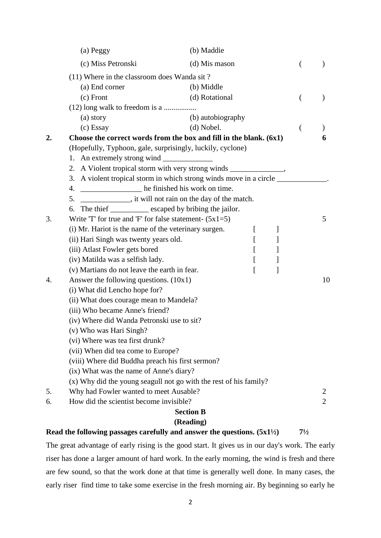|                  | (a) Peggy                                                                         | (b) Maddie        |   |   |                |                |
|------------------|-----------------------------------------------------------------------------------|-------------------|---|---|----------------|----------------|
|                  | (c) Miss Petronski                                                                | (d) Mis mason     |   |   | €              |                |
|                  | (11) Where in the classroom does Wanda sit?                                       |                   |   |   |                |                |
|                  | (a) End corner                                                                    | (b) Middle        |   |   |                |                |
|                  | $(c)$ Front                                                                       | (d) Rotational    |   |   |                |                |
|                  |                                                                                   |                   |   |   |                |                |
|                  | (a) story                                                                         | (b) autobiography |   |   |                |                |
|                  | (c) Essay                                                                         | $(d)$ Nobel.      |   |   |                |                |
| $\overline{2}$ . | Choose the correct words from the box and fill in the blank. $(6x1)$              |                   |   |   |                | 6              |
|                  | (Hopefully, Typhoon, gale, surprisingly, luckily, cyclone)                        |                   |   |   |                |                |
|                  |                                                                                   |                   |   |   |                |                |
|                  | 2. A Violent tropical storm with very strong winds ______________________________ |                   |   |   |                |                |
|                  | 3. A violent tropical storm in which strong winds move in a circle ________       |                   |   |   |                |                |
|                  | he finished his work on time.<br>4.                                               |                   |   |   |                |                |
|                  | 5. ______________, it will not rain on the day of the match.                      |                   |   |   |                |                |
|                  | The thief ____________ escaped by bribing the jailor.<br>6.                       |                   |   |   |                |                |
| 3.               | Write $T'$ for true and 'F' for false statement- $(5x1=5)$                        |                   |   |   |                | 5              |
|                  | (i) Mr. Hariot is the name of the veterinary surgen.                              |                   | L | ] |                |                |
|                  | (ii) Hari Singh was twenty years old.                                             |                   | L | ] |                |                |
|                  | (iii) Atlast Fowler gets bored                                                    |                   |   | ] |                |                |
|                  | (iv) Matilda was a selfish lady.                                                  |                   | L | ] |                |                |
|                  | (v) Martians do not leave the earth in fear.                                      |                   | L | 1 |                |                |
| 4.               | Answer the following questions. $(10x1)$                                          |                   |   |   |                | 10             |
|                  | (i) What did Lencho hope for?                                                     |                   |   |   |                |                |
|                  | (ii) What does courage mean to Mandela?                                           |                   |   |   |                |                |
|                  | (iii) Who became Anne's friend?                                                   |                   |   |   |                |                |
|                  | (iv) Where did Wanda Petronski use to sit?                                        |                   |   |   |                |                |
|                  | (v) Who was Hari Singh?                                                           |                   |   |   |                |                |
|                  | (vi) Where was tea first drunk?                                                   |                   |   |   |                |                |
|                  | (vii) When did tea come to Europe?                                                |                   |   |   |                |                |
|                  | (viii) Where did Buddha preach his first sermon?                                  |                   |   |   |                |                |
|                  | (ix) What was the name of Anne's diary?                                           |                   |   |   |                |                |
|                  | (x) Why did the young seagull not go with the rest of his family?                 |                   |   |   |                |                |
| 5.               | Why had Fowler wanted to meet Ausable?                                            |                   |   |   |                | $\overline{2}$ |
| 6.               | How did the scientist become invisible?                                           |                   |   |   |                | $\overline{2}$ |
|                  |                                                                                   | <b>Section B</b>  |   |   |                |                |
|                  |                                                                                   | (Reading)         |   |   |                |                |
|                  | Read the following passages carefully and answer the questions. $(5x1^{1/2})$     |                   |   |   | $7\frac{1}{2}$ |                |

The great advantage of early rising is the good start. It gives us in our day's work. The early riser has done a larger amount of hard work. In the early morning, the wind is fresh and there are few sound, so that the work done at that time is generally well done. In many cases, the early riser find time to take some exercise in the fresh morning air. By beginning so early he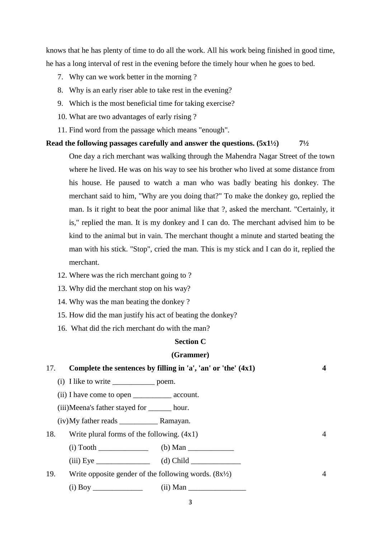knows that he has plenty of time to do all the work. All his work being finished in good time, he has a long interval of rest in the evening before the timely hour when he goes to bed.

- 7. Why can we work better in the morning ?
- 8. Why is an early riser able to take rest in the evening?
- 9. Which is the most beneficial time for taking exercise?
- 10. What are two advantages of early rising ?
- 11. Find word from the passage which means "enough".

### **Read the following passages carefully and answer the questions. (5x1½) 7½**

One day a rich merchant was walking through the Mahendra Nagar Street of the town where he lived. He was on his way to see his brother who lived at some distance from his house. He paused to watch a man who was badly beating his donkey. The merchant said to him, "Why are you doing that?" To make the donkey go, replied the man. Is it right to beat the poor animal like that ?, asked the merchant. "Certainly, it is," replied the man. It is my donkey and I can do. The merchant advised him to be kind to the animal but in vain. The merchant thought a minute and started beating the man with his stick. "Stop", cried the man. This is my stick and I can do it, replied the merchant.

- 12. Where was the rich merchant going to ?
- 13. Why did the merchant stop on his way?
- 14. Why was the man beating the donkey ?
- 15. How did the man justify his act of beating the donkey?
- 16. What did the rich merchant do with the man?

### **Section C**

#### **(Grammer)**

| 17. |                                                            | Complete the sentences by filling in 'a', 'an' or 'the' $(4x1)$ | 4              |
|-----|------------------------------------------------------------|-----------------------------------------------------------------|----------------|
|     |                                                            |                                                                 |                |
|     |                                                            |                                                                 |                |
|     | (iii)Meena's father stayed for _______ hour.               |                                                                 |                |
|     |                                                            |                                                                 |                |
| 18. | Write plural forms of the following. $(4x1)$               |                                                                 | $\overline{4}$ |
|     |                                                            |                                                                 |                |
|     |                                                            | (iii) Eye $\qquad \qquad$ (d) Child                             |                |
| 19. | Write opposite gender of the following words. $(8x^{1/2})$ |                                                                 | $\overline{4}$ |
|     |                                                            |                                                                 |                |
|     |                                                            |                                                                 |                |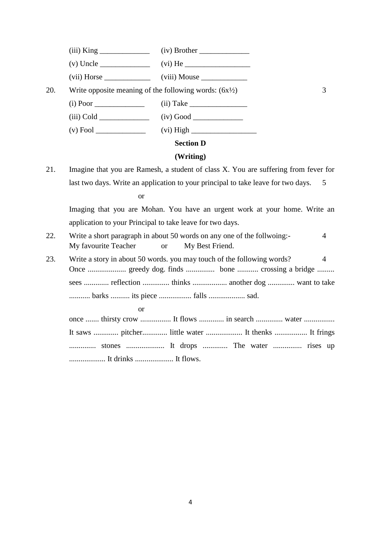(iii) King \_\_\_\_\_\_\_\_\_\_\_\_\_ (iv) Brother \_\_\_\_\_\_\_\_\_\_\_\_\_

(v) Uncle \_\_\_\_\_\_\_\_\_\_\_\_\_ (vi) He \_\_\_\_\_\_\_\_\_\_\_\_\_\_\_\_\_

(vii) Horse \_\_\_\_\_\_\_\_\_\_\_\_ (viii) Mouse \_\_\_\_\_\_\_\_\_\_\_\_

20. Write opposite meaning of the following words:  $(6x^{1/2})$  3

 $(i)$  Poor  $(i)$  Take

(iii) Cold \_\_\_\_\_\_\_\_\_\_\_\_\_ (iv) Good \_\_\_\_\_\_\_\_\_\_\_\_\_

(v) Fool \_\_\_\_\_\_\_\_\_\_\_\_\_ (vi) High \_\_\_\_\_\_\_\_\_\_\_\_\_\_\_\_\_

### **Section D**

### **(Writing)**

21. Imagine that you are Ramesh, a student of class X. You are suffering from fever for last two days. Write an application to your principal to take leave for two days. 5

#### or

Imaging that you are Mohan. You have an urgent work at your home. Write an application to your Principal to take leave for two days.

- 22. Write a short paragraph in about 50 words on any one of the follwoing:- 4 My favourite Teacher or My Best Friend.
- 23. Write a story in about 50 words. you may touch of the following words? 4 Once .................... greedy dog. finds ............... bone ........... crossing a bridge ......... sees ............. reflection .............. thinks .................. another dog .............. want to take ........... barks .......... its piece ................. falls ................... sad.

or

| once  thirsty crow  It flows  in search  water |  |  |
|------------------------------------------------|--|--|
|                                                |  |  |
|                                                |  |  |
|                                                |  |  |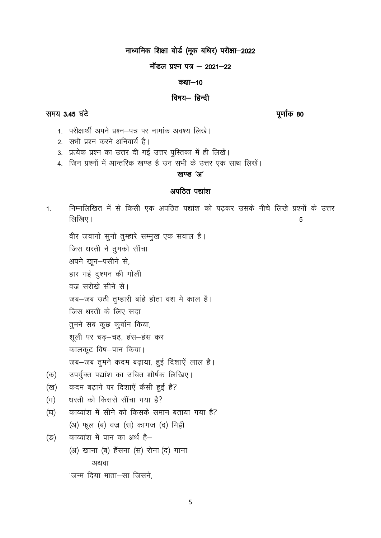# माध्यमिक शिक्षा बोर्ड (मूक बधिर) परीक्षा-2022

### मॉडल प्रश्न पत्र - 2021-22

### कक्षा-10

### विषय- हिन्दी

पूर्णांक 80

- 1. परीक्षार्थी अपने प्रश्न–पत्र पर नामांक अवश्य लिखे।
- 2. सभी प्रश्न करने अनिवार्य है।
- 3. प्रत्येक प्रश्न का उत्तर दी गई उत्तर पुस्तिका में ही लिखें।
- 4. जिन प्रश्नों में आन्तरिक खण्ड है उन सभी के उत्तर एक साथ लिखें।

### खण्ड 'अ'

### अपठित पद्यांश

निम्नलिखित में से किसी एक अपठित पद्यांश को पढ़कर उसके नीचे लिखे प्रश्नों के उत्तर  $1.$ लिखिए। 5

वीर जवानो सूनो तुम्हारे सम्मुख एक सवाल है।

जिस धरती ने तुमको सींचा

अपने खून-पसीने से,

हार गई दुश्मन की गोली

वज्र सरीखे सीने से।

जब-जब उठी तुम्हारी बांहे होता वश मे काल है।

जिस धरती के लिए सदा

तुमने सब कूछ कुर्बान किया,

शूली पर चढ़-चढ़, हंस-हंस कर

कालकूट विष-पान किया।

जब-जब तुमने कदम बढ़ाया, हुई दिशाऐं लाल है।

- उपर्युक्त पद्यांश का उचित शीर्षक लिखिए। (क)
- कदम बढ़ाने पर दिशाऐं कैसी हुई है? (ख)
- धरती को किससे सींचा गया है?  $(\pi)$
- काव्यांश में सीने को किसके समान बताया गया है? (घ)

(अ) फूल (ब) वज्र (स) कागज (द) मिट्टी

काव्यांश में पान का अर्थ है- $(\overline{S})$ 

> (अ) खाना (ब) हँसना (स) रोना (द) गाना अथवा

'जन्म दिया माता-सा जिसने.

# समय 3.45 घंटे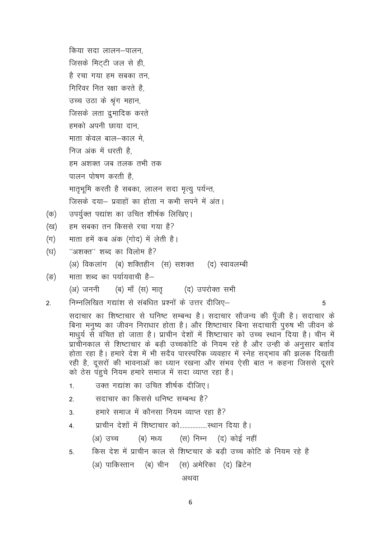किया सदा लालन–पालन. जिसके मिटटी जल से ही, है रचा गया हम सबका तन गिरिवर नित रक्षा करते है उच्च उठा के श्रृंग महान, जिसके लता द्रुमादिक करते हमको अपनी छाया दान. माता केवल बाल–काल मे निज अंक में धरती है हम अशक्त जब तलक तभी तक पालन पोषण करती है. मातृभूमि करती है सबका, लालन सदा मृत्यू पर्यन्त, जिसके दया– प्रवाहों का होता न कभी सपने में अंत।

- उपर्युक्त पद्यांश का उचित शीर्षक लिखिए। (क)
- हम सबका तन किससे रचा गया है? (ख)
- माता हमें कब अंक (गोद) में लेती है।  $(\pi)$
- "अशक्त" शब्द का विलोम है?  $(\overline{z})$

(अ) विकलांग (ब) शक्तिहीन (स) सशक्त (द) स्वावलम्बी

- माता शब्द का पर्यायवाची है-(ङ)
	- (अ) जननी (ब) माँ (स) मातृ (द) उपरोक्त सभी
- निम्नलिखित गद्यांश से संबधित प्रश्नों के उत्तर दीजिए–  $2.$

5

सदाचार का शिष्टाचार से घनिष्ट सम्बन्ध है। सदाचार सौजन्य की पूँजी है। सदाचार के बिना मनुष्य का जीवन निराधार होता है। और शिष्टाचार बिना सदाचारी पुरुष भी जीवन के माधूर्य से वंचित हो जाता है। प्राचीन देशों में शिष्टाचार को उच्च स्थान दिया है। चीन में प्राचीनकाल से शिष्टाचार के बड़ी उच्चकोटि के नियम रहे है और उन्ही के अनुसार बर्ताव होता रहा है। हमारे देश में भी सदैव पारस्परिक व्यवहार में स्नेह सदभाव की झलक दिखती रही है, दूसरों की भावनाओं का ध्यान रखना और संभव ऐसी बात न कहना जिससे दूसरे को ठेस पंहुचे नियम हमारे समाज में सदा व्याप्त रहा है।

- उक्त गद्यांश का उचित शीर्षक दीजिए।  $1<sub>1</sub>$
- सदाचार का किससे धनिष्ट सम्बन्ध है?  $2.$
- हमारे समाज में कौनसा नियम व्याप्त रहा है?  $3.$
- $\overline{4}$

(स) निम्न (द) कोई नहीं (अ) उच्च (ब) मध्य

किस देश में प्राचीन काल से शिष्टचार के बड़ी उच्च कोटि के नियम रहे है  $5<sup>1</sup>$ (अ) पाकिस्तान (ब) चीन (स) अमेरिका (द) ब्रिटेन

अथवा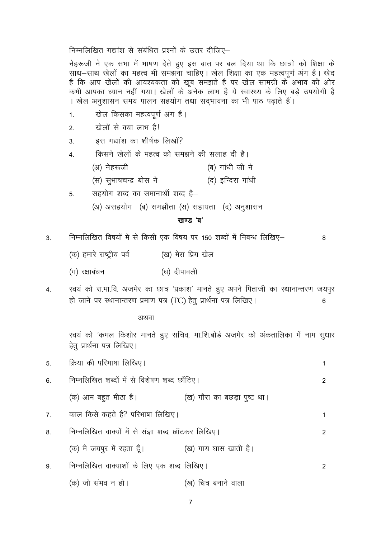निम्नलिखित गद्यांश से संबंधित प्रश्नों के उत्तर दीजिए–

नेहरूजी ने एक सभा में भाषण देते हुए इस बात पर बल दिया था कि छात्रों को शिक्षा के साथ–साथ खेलों का महत्व भी समझना चाहिए। खेल शिक्षा का एक महत्वपूर्ण अंग है। खेद है कि आप खेंलों की आवश्यकता को खूब समझते है पर खेल सामग्री के अभाव की ओर कभी आपका ध्यान नहीं गया। खेलों के अनेक लाभ है ये स्वास्थ्य के लिए बड़े उपयोगी है । खेल अनुशासन समय पालन सहयोग तथा सदभावना का भी पाठ पढाते हैं।

- खेल किसका महत्वपूर्ण अंग है।  $1.$
- खेलों से क्या लाभ है।  $2.$
- इस गद्यांश का शीर्षक लिखों?  $3.$
- किसने खेलों के महत्व को समझने की सलाह दी है।  $\overline{4}$ .
	- (ब) गांधी जी ने (अ) नेहरूजी
	- (स) सुभाषचन्द्र बोस ने (द) इन्दिरा गांधी
- सहयोग शब्द का समानार्थी शब्द है–  $5<sup>1</sup>$ 
	- (अ) असहयोग (ब) समझौता (स) सहायता (द) अनुशासन

### खण्ड 'ब'

 $\mathsf{R}$ 

निम्नलिखित विषयों मे से किसी एक विषय पर 150 शब्दों में निबन्ध लिखिए–  $3<sub>l</sub>$ 

- (क) हमारे राष्ट्रीय पर्व (ख) मेरा प्रिय खेल
- (ग) रक्षाबंधन (घ) दीपावली
- स्वयं को रा.मा.वि. अजमेर का छात्र 'प्रकाश' मानते हुए अपने पिताजी का स्थानान्तरण जयपुर  $\overline{4}$ . हो जाने पर स्थानान्तरण प्रमाण पत्र (TC) हेत् प्रार्थना पत्र लिखिए।  $6\phantom{a}$

अथवा

स्वयं को 'कमल किशोर मानते हुए सचिव, मा.शि.बोर्ड अजमेर को अंकतालिका में नाम सुधार हेतु प्रार्थना पत्र लिखिए।

|    | 5. क्रिया की परिभाषा लिखिए।                                      |                      | 1              |
|----|------------------------------------------------------------------|----------------------|----------------|
| 6. | निम्नलिखित शब्दों में से विशेषण शब्द छाँटिए।                     |                      | $\overline{2}$ |
|    | (क) आम बहुत मीठा है।                 (ख) गौरा का बछड़ा पुष्ट था। |                      |                |
| 7. | काल किसे कहते है? परिभाषा लिखिए।                                 |                      | 1              |
| 8. | निम्नलिखित वाक्यों में से संज्ञा शब्द छॉटकर लिखिए।               |                      | $\mathcal{P}$  |
|    | (क) मै जयपुर में रहता हूँ।                                       | (ख) गाय घास खाती है। |                |
| 9. | निम्नलिखित वाक्याशों के लिए एक शब्द लिखिए।                       |                      | 2              |
|    | (क) जो संभव न हो।                                                | (ख) चित्र बनाने वाला |                |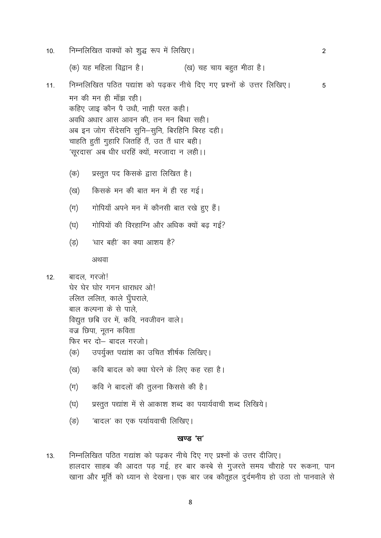- निम्नलिखित वाक्यों को शुद्ध रूप में लिखिए।  $10.$ 2 (क) यह महिला विद्वान है। (ख) चह चाय बहुत मीठा है। निम्नलिखित पठित पद्यांश को पढकर नीचे दिए गए प्रश्नों के उत्तर लिखिए। 5  $11.$ मन की मन ही माँझ रही। कहिए जाइ कौन पै उधौ, नाही परत कही। अवधि अधार आस आवन की, तन मन बिथा सही। अब इन जोग सँदेसनि सुनि–सुनि, बिरहिनि बिरह दही। चाहति हतीं गृहारि जितहिं तैं, उत तैं धार बही। 'सुरदास' अब धीर धरहिं क्यों, मरजादा न लही।। प्रस्तूत पद किसके द्वारा लिखित है। (क) किसके मन की बात मन में ही रह गई। (ख) गोपियाँ अपने मन में कौनसी बात रखे हुए हैं।  $(\pi)$ गोपियों की विरहाग्नि और अधिक क्यों बढ़ गई? (घ) 'धार बही' का क्या आशय है? (ভ) अथवा बादल, गरजो!  $12.$ घेर घेर घोर गगन धाराधर ओ! ललित ललित, काले घूँघराले, बाल कल्पना के से पाले, विद्युत छबि उर में, कवि, नवजीवन वाले। वज्र छिपा, नूतन कविता फिर भर दो- बादल गरजो। उपर्युक्त पद्यांश का उचित शीर्षक लिखिए। (क) कवि बादल को क्या घेरने के लिए कह रहा है। (ख) कवि ने बादलों की तूलना किससे की है।  $(\pi)$ प्रस्तुत पद्यांश में से आकाश शब्द का पयार्यवाची शब्द लिखिये। (घ) 'बादल' का एक पर्यायवाची लिखिए।  $(\overline{S})$ खण्ड 'स' निम्नलिखित पठित गद्यांश को पढकर नीचे दिए गए प्रश्नों के उत्तर दीजिए।  $13.$ 
	- हालदार साहब की आदत पड़ गई, हर बार कस्बे से गुजरते समय चौराहे पर रूकना, पान खाना और मूर्ति को ध्यान से देखना। एक बार जब कौतूहल दुर्दमनीय हो उठा तो पानवाले से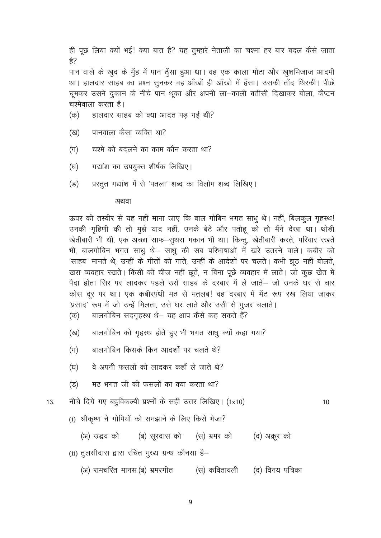ही पूछ लिया क्यों भई! क्या बात है? यह तुम्हारे नेताजी का चश्मा हर बार बदल कैसे जाता हे?

पान वाले के खुद के मुँह में पान दूँसा हुआ था। वह एक काला मोटा और खुशमिजाज आदमी था। हालदार साहब का प्रश्न सुनकर वह आँखों ही आँखो में हँसा। उसकी तोंद थिरकी। पीछे घूमकर उसने दुकान के नीचे पान थूका और अपनी ला-काली बतीसी दिखाकर बोला, कैप्टन चश्मेवाला करता है।

- हालदार साहब को क्या आदत पड गई थी? (क)
- पानवाला कैसा व्यक्ति था? (ख)
- चश्मे को बदलने का काम कौन करता था?  $(\pi)$
- गद्यांश का उपयुक्त शीर्षक लिखिए। (घ)
- प्रस्तूत गद्यांश में से 'पतला' शब्द का विलोम शब्द लिखिए। (ভ)

#### अथवा

ऊपर की तस्वीर से यह नहीं माना जाए कि बाल गोबिन भगत साधु थे। नहीं, बिलकुल गृहस्थ! उनकी गृहिणी की तो मूझे याद नहीं, उनके बेटे और पतोहू को तो मैंने देखा था। थोडी खेतीबारी भी थी, एक अच्छा साफ-सुथरा मकान भी था। किन्तू, खेतीबारी करते, परिवार रखते भी, बालगोबिन भगत साधू थे– साधू की सब परिभाषाओं में खरे उतरने वाले। कबीर को 'साहब' मानते थे, उन्हीं के गीतों को गाते, उन्हीं के आदेशों पर चलते। कभी झूठ नहीं बोलते, खरा व्यवहार रखते। किसी की चीज नहीं छूते, न बिना पूछे व्यवहार में लाते। जो कूछ खेत में पैदा होता सिर पर लादकर पहले उसे साहब के दरबार में ले जाते— जो उनके घर से चार कोस दर पर था। एक कबीरपंथी मठ से मतलब! वह दरबार में भेंट रूप रख लिया जाकर 'प्रसाद' रूप में जो उन्हें मिलता, उसे घर लाते और उसी से गुजर चलाते।

- बालगोबिन सदगृहस्थ थे– यह आप कैसे कह सकते हैं? (क)
- बालगोबिन को गृहस्थ होते हुए भी भगत साध क्यों कहा गया? (ख)
- बालगोबिन किसके किन आदर्शों पर चलते थे?  $(\pi)$
- (घ) वे अपनी फसलों को लादकर कहाँ ले जाते थे?
- मठ भगत जी की फसलों का क्या करता था? (ন্ত)
- नीचे दिये गए बहुविकल्पी प्रश्नों के सही उत्तर लिखिए। (1x10)  $13.$

 $10$ 

(i) श्रीकृष्ण ने गोपियों को समझाने के लिए किसे भेजा?

(अ) उद्धव को (ब) सूरदास को (स) भ्रमर को (द) अक्रूर को

- (ii) तूलसीदास द्वारा रचित मुख्य ग्रन्थ कौनसा है–
	- (अ) रामचरित मानस(ब) भ्रमरगीत (स) कवितावली (द) विनय पत्रिका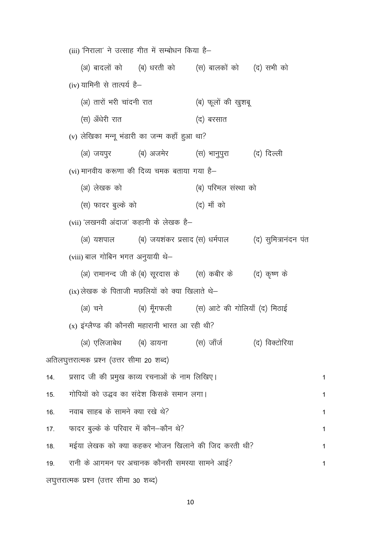(iii) 'निराला' ने उत्साह गीत में सम्बोधन किया है– (ब) धरती को (स) बालकों को (द) सभी को (अ) बादलों को (iv) यामिनी से तात्पर्य है-(अ) तारों भरी चांदनी रात (ब) फूलों की खुशबू (स) अँधेरी रात (द) बरसात (v) लेखिका मन्न भंडारी का जन्म कहाँ हुआ था? (स) भानुपुरा (द) दिल्ली (अ) जयपुर (ब) अजमेर (vi) मानवीय करूणा की दिव्य चमक बताया गया है-(अ) लेखक को (ब) परिमल संस्था को (स) फादर बुल्के को (द) माँ को (vii) 'लखनवी अंदाज' कहानी के लेखक है-(ब) जयशंकर प्रसाद (स) धर्मपाल (द) सुमित्रानंदन पंत (अ) यशपाल (viii) बाल गोबिन भगत अनुयायी थे-(अ) रामानन्द जी के (ब) सूरदास के (स) कबीर के (द) कृष्ण के  $(ix)$  लेखक के पिताजी मछलियों को क्या खिलाते थे— (ब) मूँगफली (स) आटे की गोलियाँ (द) मिठाई (अ) चने  $(x)$  इंग्लैण्ड की कौनसी महारानी भारत आ रही थी? (अ) एलिजाबेथ (ब) डायना (स) जाँर्ज (द) विक्टोरिया अतिलघुत्तरात्मक प्रश्न (उत्तर सीमा 20 शब्द) प्रसाद जी की प्रमुख काव्य रचनाओं के नाम लिखिए। 14. गोपियों को उद्धव का संदेश किसके समान लगा।  $15.$ नवाब साहब के सामने क्या रखे थे?  $16.$ फादर बुल्के के परिवार में कौन–कौन थे?  $17.$ मईया लेखक को क्या कहकर भोजन खिलाने की जिद करती थी?  $18.$ रानी के आगमन पर अचानक कौनसी समस्या सामने आई?  $19.$ लघुत्तरात्मक प्रश्न (उत्तर सीमा 30 शब्द)

10

 $\mathbf{1}$ 

 $\mathbf{1}$ 

 $\mathbf{1}$ 

 $\mathbf{1}$ 

 $\overline{1}$ 

 $\mathbf{1}$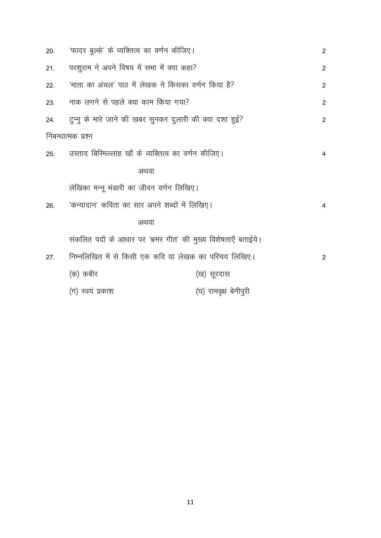| 20. | 'फादर बुल्के' के व्यक्तित्व का वर्णन कीजिए।                   |                       | 2              |
|-----|---------------------------------------------------------------|-----------------------|----------------|
| 21. | परशुराम ने अपने विषय में सभा में क्या कहा?                    |                       | 2              |
| 22. | 'माता का अंचल' पाठ में लेखक ने किसका वर्णन किया है?           |                       | $\overline{2}$ |
| 23. | नाक लगने से पहले क्या काम किया गया?                           |                       | $\overline{2}$ |
| 24. | टुन्नु के मारे जाने की खबर सुनकर दुलारी की क्या दशा हुई?      |                       | $\overline{2}$ |
|     | निबन्धात्मक प्रश्न                                            |                       |                |
| 25. | उस्ताद बिस्मिल्लाह खाँ के व्यक्तित्व का वर्णन कीजिए।          |                       | 4              |
|     | अथवा                                                          |                       |                |
|     | लेखिका मन्नू भंडारी का जीवन वर्णन लिखिए।                      |                       |                |
| 26. | 'कन्यादान' कविता का सार अपने शब्दों में लिखिए।                |                       | 4              |
|     | अथवा                                                          |                       |                |
|     | संकलित पदों के आधार पर 'भ्रमर गीत' की मुख्य विशेषताएँ बताईये। |                       |                |
| 27. | निम्नलिखित में से किसी एक कवि या लेखक का परिचय लिखिए।         |                       | 2              |
|     | (क) कबीर                                                      | (ख) सूरदास            |                |
|     | (ग) स्वयं प्रकाश                                              | (घ) रामवृक्ष बेनीपुरी |                |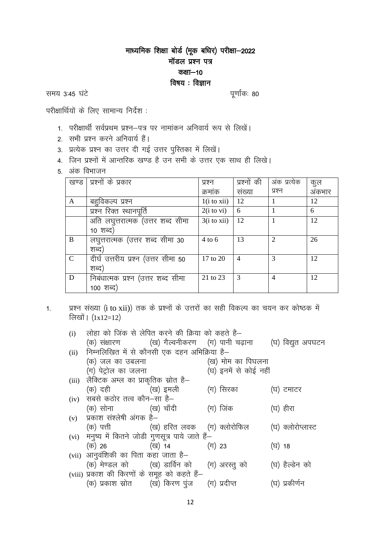# माध्यमिक शिक्षा बोर्ड (मूक बधिर) परीक्षा-2022 मॉडल प्रश्न पत्र कक्षा $-10$ विषय : विज्ञान

समय 3:45 घंटे

पूर्णांकः 80

परीक्षार्थियों के लिए सामान्य निर्देश:

- 1. परीक्षार्थी सर्वप्रथम प्रश्न–पत्र पर नामांकन अनिवार्य रूप से लिखें।
- 2. सभी प्रश्न करने अनिवार्य हैं।
- 3. प्रत्येक प्रश्न का उत्तर दी गई उत्तर पुस्तिका में लिखें।
- <u>4. जिन प्रश्नों में आन्तरिक खण्ड है उन सभी के उत्तर एक साथ ही लिखे।</u>
- 5. अंक विभाजन

| खण्ड          | प्रश्नों के प्रकार                  | प्रश्न                 | प्रश्नों की | अंक प्रत्येक                | कुल    |
|---------------|-------------------------------------|------------------------|-------------|-----------------------------|--------|
|               |                                     | क्रमांक                | संख्या      | प्रश्न                      | अंकभार |
| $\mathbf{A}$  | बहुविकल्प प्रश्न                    | $1(i \text{ to } xii)$ | 12          |                             | 12     |
|               | प्रश्न रिक्त स्थानपूर्ति            | $2(i \text{ to } vi)$  | 6           |                             | 6      |
|               | अति लघुत्तरात्मक (उत्तर शब्द सीमा   | $3(i \text{ to } xii)$ | 12          |                             | 12     |
|               | 10 शब्द)                            |                        |             |                             |        |
| B             | लघूत्तरात्मक (उत्तर शब्द सीमा 30    | $4$ to 6               | 13          | $\mathcal{D}_{\mathcal{L}}$ | 26     |
|               | शब्द)                               |                        |             |                             |        |
| $\mathcal{C}$ | दीर्घ उत्तरीय प्रश्न (उत्तर सीमा 50 | 17 to 20               | 4           | $\mathcal{R}$               | 12     |
|               | शब्द)                               |                        |             |                             |        |
| D             | निबंधात्मक प्रश्न (उत्तर शब्द सीमा  | 21 to 23               | 3           | $\overline{4}$              | 12     |
|               | 100 शब्द)                           |                        |             |                             |        |

प्रश्न संख्या (i to xii)) तक के प्रश्नों के उत्तरों का सही विकल्प का चयन कर कोष्ठक में  $1.$ लिखों।  $(1x12=12)$ 

| (i)  | लोहा को जिंक से लेपित करने की क्रिया को कहते है–        |                   |                       |        |                   |
|------|---------------------------------------------------------|-------------------|-----------------------|--------|-------------------|
|      | (क) संक्षारण           (ख) गैल्वनीकरण   (ग) पानी चढ़ाना |                   |                       |        | (घ) विद्युत अपघटन |
| (ii) | निम्नलिखित में से कौनसी एक दहन अभिक्रिया है–            |                   |                       |        |                   |
|      | (क) जल का उबलना                                         |                   | (ख) मोम का पिघलना     |        |                   |
|      | (ग) पेट्रोल का जलना                                     |                   | (घ) इनमें से कोई नहीं |        |                   |
|      | (iii) लैक्टिक अम्ल का प्राकृतिक स्रोत है–               |                   |                       |        |                   |
|      | (क) दही               (ख) इमली                          |                   | (ग) सिरका             |        | (घ) टमाटर         |
|      | (iv) सबसे कठोर तत्व कौन-सा है-                          |                   |                       |        |                   |
|      | (क) सोना             (ख) चॉदी                           |                   | (ग) जिंक              |        | (घ) हीरा          |
|      | $(v)$ प्रकाश संश्लेषी अंगक है-                          |                   |                       |        |                   |
|      | (क) पत्ती               (ख) हरित लवक    (ग) क्लोरोफिल   |                   |                       |        | (घ) क्लोरोप्लास्ट |
|      | (vi) मनुष्य में कितने जोडी गुणसूत्र पाये जाते हैं-      |                   |                       |        |                   |
|      | (क) 26 (ख) 14                                           | $(\mathrm{T})$ 23 |                       | (घ) 18 |                   |
|      | (vii) आनुवंशिकी का पिता कहा जाता है-                    |                   |                       |        |                   |
|      | (क) मेण्डल को       (ख) डार्विन को     (ग) अरस्तु को    |                   |                       |        | (घ) हैल्डेन को    |
|      | (viii) प्रकाश की किरणों के समूह को कहते हैं-            |                   |                       |        |                   |
|      | (क) प्रकाश स्रोत       (ख) किरण पूंज     (ग) प्रदीप्त   |                   |                       |        | (घ) प्रकीर्णन     |
|      |                                                         |                   |                       |        |                   |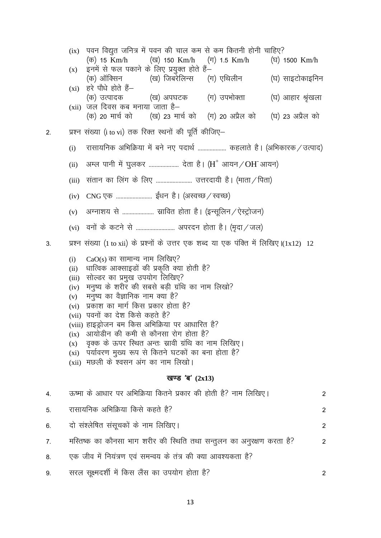$(ix)$  पवन विद्युत जनित्र में पवन की चाल कम से कम कितनी होनी चाहिए? (क) 15 Km/h (ख) 150 Km/h  $(\pi)$  1.5 Km/h (ঘ) 1500 Km/h इनमें से फल पकाने के लिए प्रयुक्त होते हैं–  $(x)$ (ग) एथिलीन (ख) जिबरेलिन्स (घ) साइटोकाइनिन (क) ऑक्सिन  $(x_i)$  हरे पौधे होते हैं-(ख) अपघटक (ग) उपभोक्ता (घ) आहार श्रृंखला (क) उत्पादक  $(xii)$  जल दिवस कब मनाया जाता है– (क) 20 मार्च को (ख) 23 मार्च को (ग) 20 अप्रैल को (घ) 23 अप्रैल को प्रश्न संख्या (i to vi) तक रिक्त स्थनों की पूर्ति कीजिए–  $2.$ रासायनिक अभिक्रिया में बने नए पदार्थ ................... कहलाते है। (अभिकारक / उत्पाद)  $(i)$ अम्ल पानी में घूलकर ..................... देता है। ( $H^+$  आयन / OH आयन)  $(ii)$ (iii) संतान का लिंग के लिए .......................... उत्तरदायी है। (माता / पिता) अग्नाशय से ...................... स्रावित होता है। (इन्सूलिन / ऐस्ट्रोजन)  $(v)$ प्रश्न संख्या (1 to xii) के प्रश्नों के उत्तर एक शब्द या एक पंक्ति में लिखिए |(1x12) 12  $3.$  $CaO(s)$  का सामान्य नाम लिखिए?  $(i)$ धात्विक आक्साइडों की प्रकृति क्या होती है?  $(ii)$ (iii) सोल्डर का प्रमुख उपयोग लिखिए? (iv) मनुष्य के शरीर की सबसे बड़ी ग्रंथि का नाम लिखो? मनुष्य का वैज्ञानिक नाम क्या है?  $(v)$ (vi) प्रकाश का मार्ग किस प्रकार होता है? (vii) पवनों का देश किसे कहते है? (viii) हाइड़ोजन बम किस अभिक्रिया पर आधारित है?  $(ix)$  आयोडीन की कमी से कौनसा रोग होता है? वृक्क के ऊपर स्थित अन्तः स्रावी ग्रंथि का नाम लिखिए।  $(X)$ (xi) पर्यावरण मुख्य रूप से कितने घटकों का बना होता है?  $(xii)$  मछली के श्वसन अंग का नाम लिखो। खण्ड 'ब'  $(2x13)$ ऊष्मा के आधार पर अभिक्रिया कितने प्रकार की होती है? नाम लिखिए।  $4.$  $\overline{2}$ रासायनिक अभिक्रिया किसे कहते है?  $5<sub>1</sub>$ 2 दो संश्लेषित संसुचकों के नाम लिखिए।  $6 \overline{6}$  $\mathfrak{p}$ मस्तिष्क का कौनसा भाग शरीर की स्थिति तथा सन्तुलन का अनुरक्षण करता है?  $7<sub>1</sub>$ 2

एक जीव में नियंत्रण एवं समन्वय के तंत्र की क्या आवश्यकता है? 8.

सरल सुक्ष्मदर्शी में किस लैंस का उपयोग होता है? 9.

 $\overline{2}$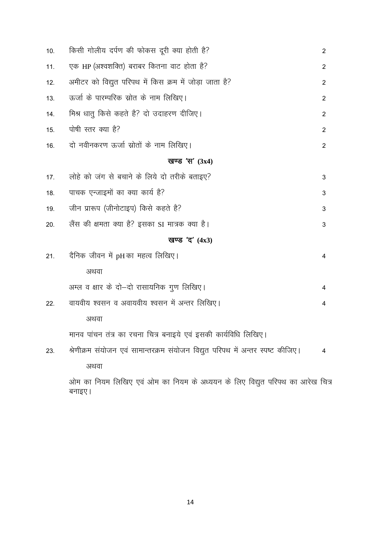| 10. | किसी गोलीय दर्पण की फोकस दूरी क्या होती है?                                             | $\overline{2}$ |
|-----|-----------------------------------------------------------------------------------------|----------------|
| 11. | एक HP (अश्वशक्ति) बराबर कितना वाट होता है?                                              | $\overline{2}$ |
| 12. | अमीटर को विद्युत परिपथ में किस क्रम में जोड़ा जाता है?                                  | $\overline{2}$ |
| 13. | ऊर्जा के पारम्परिक स्रोत के नाम लिखिए।                                                  | $\overline{2}$ |
| 14. | मिश्र धातु किसे कहते है? दो उदाहरण दीजिए।                                               | $\overline{2}$ |
| 15. | पोषी स्तर क्या है?                                                                      | $\overline{2}$ |
| 16. | दो नवीनकरण ऊर्जा स्रोतों के नाम लिखिए।                                                  | $\overline{2}$ |
|     | खण्ड 'स' $(3x4)$                                                                        |                |
| 17. | लोहे को जंग से बचाने के लिये दो तरीके बताइए?                                            | 3              |
| 18. | पाचक एन्जाइमों का क्या कार्य है?                                                        | 3              |
| 19. | जीन प्रारूप (जीनोटाइप) किसे कहते है?                                                    | 3              |
| 20. | लैंस की क्षमता क्या है? इसका SI मात्रक क्या है।                                         | 3              |
|     | खण्ड 'द' $(4x3)$                                                                        |                |
| 21. | दैनिक जीवन में pHका महत्व लिखिए।                                                        | 4              |
|     | अथवा                                                                                    |                |
|     | अम्ल व क्षार के दो-दो रासायनिक गुण लिखिए।                                               | 4              |
| 22. | वायवीय श्वसन व अवायवीय श्वसन में अन्तर लिखिए।                                           | 4              |
|     | अथवा                                                                                    |                |
|     | मानव पांचन तंत्र का रचना चित्र बनाइये एवं इसकी कार्यविधि लिखिए।                         |                |
| 23. | श्रेणीक्रम संयोजन एवं सामान्तरक्रम संयोजन विद्युत परिपथ में अन्तर स्पष्ट कीजिए।         | 4              |
|     | अथवा                                                                                    |                |
|     | ओम का नियम लिखिए एवं ओम का नियम के अध्ययन के लिए विद्युत परिपथ का आरेख चित्र<br>बनाइए । |                |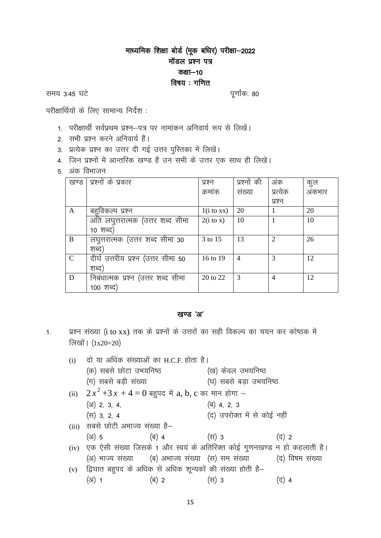# माध्यमिक शिक्षा बोर्ड (मूक बधिर) परीक्षा-2022 मॉडल प्रश्न पत्र कक्षा-10 विषय: गणित

समय 3:45 घंटे

पूर्णांकः 80

परीक्षार्थियों के लिए सामान्य निर्देश :

- 1. परीक्षार्थी सर्वप्रथम प्रश्न–पत्र पर नामांकन अनिवार्य रूप से लिखें।
- 2. सभी प्रश्न करने अनिवार्य हैं।
- 3. प्रत्येक प्रश्न का उत्तर दी गई उत्तर पुस्तिका में लिखें।
- 4. जिन प्रश्नों में आन्तरिक खण्ड है उन सभी के उत्तर एक साथ ही लिखे।
- 5. अंक विभाजन

| खण्ड          | प्रश्नों के प्रकार                  | प्रश्न                | प्रश्नों की    | अंक                         | कुल    |
|---------------|-------------------------------------|-----------------------|----------------|-----------------------------|--------|
|               |                                     | क्रमांक               | संख्या         | प्रत्येक                    | अंकभार |
|               |                                     |                       |                | प्रश्न                      |        |
| A             | बहुविकल्प प्रश्न                    | $1(i \text{ to } xx)$ | 20             |                             | 20     |
|               | अति लघुत्तरात्मक (उत्तर शब्द सीमा   | $2(i \text{ to } x)$  | 10             |                             | 10     |
|               | 10 शब्द)                            |                       |                |                             |        |
| B             | लघुत्तरात्मक (उत्तर शब्द सीमा 30    | 3 to 15               | 13             | $\mathcal{D}_{\mathcal{L}}$ | 26     |
|               | शब्द)                               |                       |                |                             |        |
| $\mathcal{C}$ | दीर्घ उत्तरीय प्रश्न (उत्तर सीमा 50 | 16 to 19              | $\overline{4}$ | 3                           | 12     |
|               | शब्द)                               |                       |                |                             |        |
| D             | निबंधात्मक प्रश्न (उत्तर शब्द सीमा  | 20 to 22              | 3              | 4                           | 12     |
|               | 100 शब्द)                           |                       |                |                             |        |

### खण्ड 'अ'

प्रश्न संख्या (i to xx) तक के प्रश्नों के उत्तरों का सही विकल्प का चयन कर कोष्ठक में  $1.$ लिखों। (1x20=20)

| (i) | दो या अधिक संख्याओं का H.C.F. होता है।                        |       |                                                                              |                 |
|-----|---------------------------------------------------------------|-------|------------------------------------------------------------------------------|-----------------|
|     | (क) सबसे छोटा उभयनिष्ठ                                        |       | (ख) केवल उभयनिष्ठ                                                            |                 |
|     | (ग) सबसे बड़ी संख्या                                          |       | (घ) सबसे बड़ा उभयनिष्ठ                                                       |                 |
|     | (ii) $2x^2+3x+4=0$ बहुपद में a, b, c का मान होगा –            |       |                                                                              |                 |
|     | $(31)$ 2, 3, 4,                                               |       | (ৰ) 4, 2, 3                                                                  |                 |
|     | $(\overline{H})$ 3, 2, 4                                      |       | (द) उपरोक्त में से कोई नहीं                                                  |                 |
|     | (iii) सबसे छोटी अभाज्य संख्या है-                             |       |                                                                              |                 |
|     | $(3)$ 5                                                       | (ৰ) 4 | (स) 3                                                                        | (द) 2           |
|     |                                                               |       | (iv) एक ऐसी संख्या जिसके 1 और स्वयं के अतिरिक्त कोई गुणनखण्ड न हो कहलाती है। |                 |
|     |                                                               |       | (अ) भाज्य संख्या      (ब) अभाज्य संख्या  (स) सम संख्या                       | (द) विषम संख्या |
|     | (v) द्विघात बहुपद के अधिक से अधिक शून्यकों की संख्या होती है– |       |                                                                              |                 |
|     | (अ) 1                                                         | (ब) 2 | (स) 3                                                                        | द) 4            |
|     |                                                               |       |                                                                              |                 |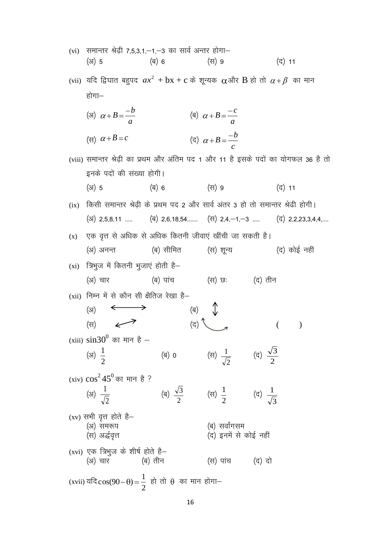| (vi) | समान्तर श्रेढ़ी 7,5,3,1,—1,—3 का सार्व अन्तर होगा—<br>$(3)$ 5  | (ৰ) 6     | (स) 9                                                               | (द) 11                                                                                                                          |
|------|----------------------------------------------------------------|-----------|---------------------------------------------------------------------|---------------------------------------------------------------------------------------------------------------------------------|
|      |                                                                |           |                                                                     | (vii) यदि द्विघात बहुपद $ax^2 + bx + c$ के शून्यक $\alpha$ और $B$ हो तो $\alpha + \beta$ का मान                                 |
|      | होगा—                                                          |           |                                                                     |                                                                                                                                 |
|      | (31) $\alpha + B = \frac{-b}{a}$                               |           | (a) $\alpha + B = \frac{-c}{a}$                                     |                                                                                                                                 |
|      | (स) $\alpha + B = c$                                           |           | (द) $\alpha + B = \frac{-b}{c}$                                     |                                                                                                                                 |
|      | इनके पदों की संख्या होगी।                                      |           |                                                                     | (viii) समान्तर श्रेढ़ी का प्रथम और अंतिम पद 1 और 11 है इसके पदों का योगफल 36 है तो                                              |
|      | $(3)$ 5                                                        | (ब) 6     | (स) 9                                                               | (द) 11                                                                                                                          |
| (ix) |                                                                |           |                                                                     | किसी समान्तर श्रेढ़ी के प्रथम पद 2 और सार्व अंतर 3 हो तो समान्तर श्रेढी होगी।                                                   |
|      |                                                                |           |                                                                     | $(\text{3})$ 2,5,8,11 $(\text{\overline{q}})$ 2,6,18,54 $(\text{\overline{q}})$ 2,4,-1,-3 $(\text{\overline{q}})$ 2,2,23,3,4,4, |
| (x)  | एक वृत्त से अधिक से अधिक कितनी जीवाएं खींची जा सकती है।        |           |                                                                     |                                                                                                                                 |
|      | (अ) अनन्त                                                      | (ब) सीमित | (स) शून्य                                                           | (द) कोई नहीं                                                                                                                    |
| (xi) | त्रिभुज में कितनी भुजाएं होती है—                              |           |                                                                     |                                                                                                                                 |
|      | (अ) चार                                                        | (ब) पांच  | (स) छः                                                              | (द) तीन                                                                                                                         |
|      | (xii) निम्न में से कौन सी क्षैतिज रेखा है—                     |           |                                                                     |                                                                                                                                 |
|      | (3I)                                                           | (ब)       |                                                                     |                                                                                                                                 |
|      | (स)                                                            | (द)       |                                                                     |                                                                                                                                 |
|      | (xiii) $\sin 30^\circ$ का मान है –<br>(31) $\frac{1}{2}$       |           | (स) $\frac{1}{\sqrt{2}}$ (द) $\frac{\sqrt{3}}{2}$                   |                                                                                                                                 |
|      |                                                                |           |                                                                     |                                                                                                                                 |
|      | (xiv) $\cos^2 45^0$ का मान है ?                                |           |                                                                     |                                                                                                                                 |
|      | (31) $\frac{1}{\sqrt{2}}$                                      |           | (a) $\frac{\sqrt{3}}{2}$ (c) $\frac{1}{2}$ (c) $\frac{1}{\sqrt{3}}$ |                                                                                                                                 |
|      | (xv) सभी वृत्त होते है–<br>(अ) समरूप<br>(स) अर्द्धवृत्त        |           | (ब) सर्वांगसम<br>(द) इनमें से कोई नहीं                              |                                                                                                                                 |
|      | (xvi) एक त्रिभुज के शीर्ष होते है—<br>(अ) चार                  | (ब) तीन   | (स) पांच (द) दो                                                     |                                                                                                                                 |
|      | (xvii) यदि $cos(90-\theta) = \frac{1}{2}$ हो तो θ का मान होगा— |           |                                                                     |                                                                                                                                 |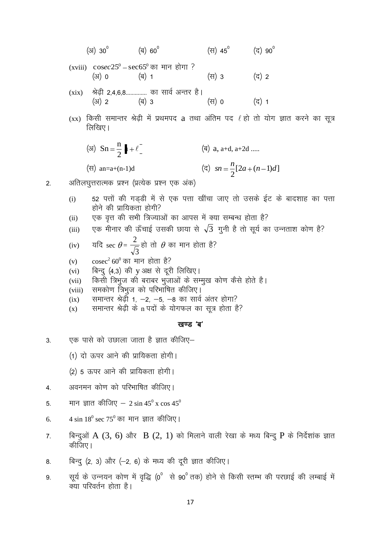(3) 30<sup>°</sup> (8) 60<sup>°</sup> (9) 45<sup>°</sup> (7) 90<sup>°</sup>  
\n(xviii) 
$$
\cos ec25° - \sec65°
$$
 65<sup>°</sup> 65<sup>°</sup> 65<sup>°</sup> 67<sup>°</sup> 74<sup>°</sup> 74<sup>°</sup> 87<sup>°</sup> 87<sup>°</sup> 87<sup>°</sup> 87<sup>°</sup> 87<sup>°</sup> 87<sup>°</sup> 87<sup>°</sup> 87<sup>°</sup> 87<sup>°</sup> 87<sup>°</sup> 87<sup>°</sup> 87<sup>°</sup> 87<sup>°</sup> 87<sup>°</sup> 87<sup>°</sup> 87<sup>°</sup> 87<sup>°</sup> 87<sup>°</sup> 87<sup>°</sup> 87<sup>°</sup> 87<sup>°</sup> 87<sup>°</sup> 87<sup>°</sup> 87<sup>°</sup> 87<sup>°</sup> 87<sup>°</sup> 87<sup>°</sup> 87<sup>°</sup> 87<sup>°</sup> 87<sup>°</sup> 87<sup>°</sup> 87<sup>°</sup> 87<sup>°</sup> 87<sup>°</sup> 87<sup>°</sup> 87<sup>°</sup> 87<sup>°</sup> 87<sup>°</sup> 87<sup>°</sup> 87<sup>°</sup> 87<sup>°</sup> 87<sup>°</sup> 87<sup>°</sup> 87<sup>°</sup> 87<sup>°</sup> 87<sup>°</sup> 87<sup>°</sup> 87<sup>°</sup> 87<sup>°</sup> 87<sup>°</sup> 87<sup>°</sup> 87<sup>°</sup> 87<sup>°</sup> 87<sup>°</sup> 87<sup>°</sup> 87<sup>°</sup> 87<sup>°</sup> 87<sup>°</sup> 87<sup>°</sup> 87<sup>°</sup> 87<sup>°</sup> 87<sup>°</sup> 87<sup>°</sup>

- समान्तर श्रेढ़ी 1, —2, —5, —8 का सार्व अंतर होगा?  $(ix)$
- समान्तर श्रेढ़ी के n पदों के योगफल का सूत्र होता है?  $(x)$

### खण्ड 'ब'

एक पासे को उछाला जाता है ज्ञात कीजिए–  $3<sub>l</sub>$ 

2.

(1) दो ऊपर आने की प्रायिकता होगी।

(2) 5 ऊपर आने की प्रायिकता होगी।

- अवनमन कोण को परिभाषित कीजिए।  $\overline{4}$ .
- मान ज्ञात कीजिए  $-2 \sin 45^\circ x \cos 45^\circ$  $5<sub>1</sub>$
- 4 sin  $18^0$  sec 75<sup>0</sup> का मान ज्ञात कीजिए। 6.
- बिन्दुओं A  $(3, 6)$  और B  $(2, 1)$  को मिलाने वाली रेखा के मध्य बिन्दु P के निर्देशांक ज्ञात  $7.$ कीजिए।
- बिन्दु (2, 3) और (-2, 6) के मध्य की दूरी ज्ञात कीजिए। 8.
- सूर्य के उन्नयन कोण में वृद्धि (0° से 90° तक) होने से किसी स्तम्भ की परछाई की लम्बाई में 9. क्या परिवर्तन होता है।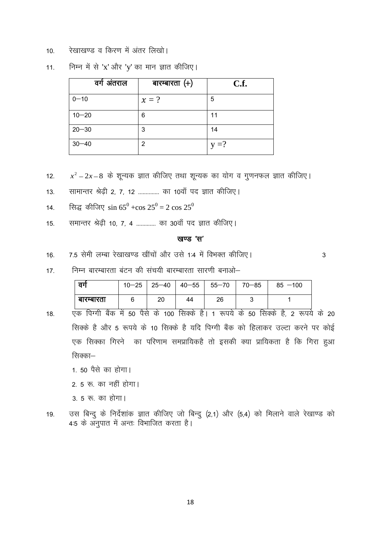रेखाखण्ड व किरण में अंतर लिखो।  $10.$ 

| वर्ग अंतराल | बारम्बारता $(+)$ | C.f.    |
|-------------|------------------|---------|
| $0 - 10$    | $x = ?$          | 5       |
| $10 - 20$   | 6                | 11      |
| $20 - 30$   | 3                | 14      |
| $30 - 40$   | 2                | $v = ?$ |

निम्न में से 'x' और 'y' का मान ज्ञात कीजिए।  $11.$ 

- $x^2 2x 8$  के शुन्यक ज्ञात कीजिए तथा शुन्यक का योग व गुणनफल ज्ञात कीजिए।  $12<sub>1</sub>$
- सामान्तर श्रेढी 2, 7, 12 ............. का 10वाँ पद ज्ञात कीजिए।  $13.$
- सिद्ध कीजिए  $\sin 65^0 + \cos 25^0 = 2 \cos 25^0$  $14.$
- समान्तर श्रेढी 10, 7, 4 ............ का 30वॉ पद ज्ञात कीजिए।  $15.$

#### खण्ड 'स'

7.5 सेमी लम्बा रेखाखण्ड खींचों और उसे 1:4 में विभक्त कीजिए। 16.

 $\overline{3}$ 

निम्न बारम्बारता बंटन की संचयी बारम्बारता सारणी बनाओ–  $17$ 

| ਰਾ         |  |    | $10-25$   25-40   40-55   55-70   3 | 70-85 | $85 - 100$ |
|------------|--|----|-------------------------------------|-------|------------|
| बारम्बारता |  | 44 | 26                                  |       |            |

- 18. सिक्के है और 5 रूपये के 10 सिक्के है यदि पिग्गी बैंक को हिलाकर उल्टा करने पर कोई एक सिक्का गिरने का परिणाम समप्रायिकहै तो इसकी क्या प्रायिकता है कि गिरा हुआ सिक्का—
	- 1. 50 पैसे का होगा।
	- 2. 5 रू. का नहीं होगा।
	- 3. 5 रू. का होगा।
- उस बिन्दु के निर्देशांक ज्ञात कीजिए जो बिन्दु (2,1) और (5,4) को मिलाने वाले रेखाण्ड को 19. 4:5 के अनुपात में अन्तः विभाजित करता है।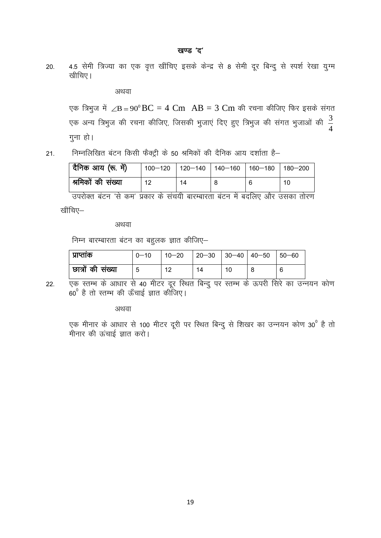4.5 सेमी त्रिज्या का एक वृत्त खींचिए इसके केन्द्र से 8 सेमी दूर बिन्दू से स्पर्श रेखा यूग्म  $20.$ खीचिए।

अथवा

एक त्रिभुज में  $\angle B = 90^{\circ}$ BC = 4 Cm AB = 3 Cm की रचना कीजिए फिर इसके संगत एक अन्य त्रिभुज की रचना कीजिए, जिसकी भुजाएं दिए हुए त्रिभुज की संगत भुजाओं की  $\frac{3}{4}$ गुना हो।

निम्नलिखित बंटन किसी फैक्ट्री के 50 श्रमिकों की दैनिक आय दर्शाता है–  $21.$ 

| दैनिक आय (रू. में) | 100-120   120-140   140-160   160-180   180-200 |    |  |    |
|--------------------|-------------------------------------------------|----|--|----|
| श्रमिकों की संख्या | 12                                              | 14 |  | 10 |

खींचिए–

अथवा

निम्न बारम्बारता बंटन का बहुलक ज्ञात कीजिए-

| । प्राप्ताक         | $0 - 10$ | $10 - 20$ | $\vert$ 20-30 $\vert$ 30-40 $\vert$ 40-50 $\vert$ 50-60 |    |  |
|---------------------|----------|-----------|---------------------------------------------------------|----|--|
| । छात्रों की संख्या | 5        | 12        | 14                                                      | 10 |  |

एक स्तम्भ के आधार से 40 मीटर दूर स्थित बिन्दु पर स्तम्भ के ऊपरी सिरे का उन्नयन कोण  $22.$  $\sim 60^{\circ}$  है तो स्तम्भ की ऊँचाई ज्ञात कीजिए।

अथवा

एक मीनार के आधार से 100 मीटर दूरी पर स्थित बिन्दु से शिखर का उन्नयन कोण 30<sup>0</sup> है तो मीनार की ऊंचाई ज्ञात करो।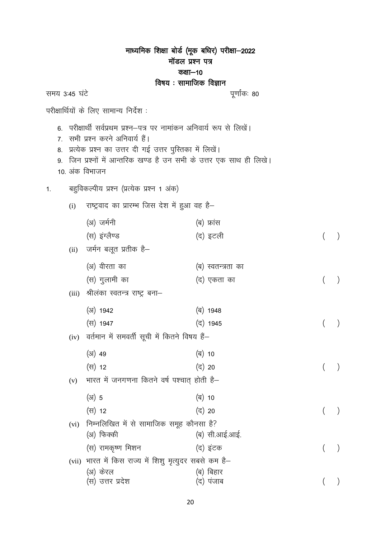|                            |                                                                                                                                                                         | माध्यमिक शिक्षा बोर्ड (मूक बधिर) परीक्षा—2022<br>मॉडल प्रश्न पत्र |  |
|----------------------------|-------------------------------------------------------------------------------------------------------------------------------------------------------------------------|-------------------------------------------------------------------|--|
|                            |                                                                                                                                                                         | कक्षा—10<br>विषय : सामाजिक विज्ञान                                |  |
| समय 3:45 घंटे              |                                                                                                                                                                         | पूर्णांकः 80                                                      |  |
|                            | परीक्षार्थियों के लिए सामान्य निर्देश :                                                                                                                                 |                                                                   |  |
| 8.<br>9.<br>10. अंक विभाजन | 6.  परीक्षार्थी सर्वप्रथम प्रश्न–पत्र पर नामांकन अनिवार्य रूप से लिखें।<br>7. सभी प्रश्न करने अनिवार्य हैं।<br>प्रत्येक प्रश्न का उत्तर दी गई उत्तर पुस्तिका में लिखें। | जिन प्रश्नों में आन्तरिक खण्ड है उन सभी के उत्तर एक साथ ही लिखे।  |  |
| 1.                         | बहुविकल्पीय प्रश्न (प्रत्येक प्रश्न 1 अंक)                                                                                                                              |                                                                   |  |
| (i)                        | राष्ट्रवाद का प्रारम्भ जिस देश में हुआ वह है–                                                                                                                           |                                                                   |  |
|                            | (अ) जर्मनी                                                                                                                                                              | (ब) फ्रांस                                                        |  |
|                            | (स) इंग्लैण्ड                                                                                                                                                           | (द) इटली                                                          |  |
|                            | (ii) जर्मन बलूत प्रतीक है–                                                                                                                                              |                                                                   |  |
|                            | (अ) वीरता का                                                                                                                                                            | (ब) स्वतन्त्रता का                                                |  |
|                            | (स) गुलामी का                                                                                                                                                           | (द) एकता का                                                       |  |
| (iii)                      | श्रीलंका स्वतन्त्र राष्ट्र बना–                                                                                                                                         |                                                                   |  |
|                            | $(31)$ 1942                                                                                                                                                             | (ब) 1948                                                          |  |
|                            | (स) 1947                                                                                                                                                                | (द) 1945                                                          |  |
| (iv)                       | वर्तमान में समवर्ती सूची में कितने विषय हैं–                                                                                                                            |                                                                   |  |
|                            | $(31)$ 49                                                                                                                                                               | (ৰ) 10                                                            |  |
|                            | (स) 12                                                                                                                                                                  | (द) 20                                                            |  |
| (v)                        | भारत में जनगणना कितने वर्ष पश्चात् होती है–                                                                                                                             |                                                                   |  |
|                            | $(31)$ 5                                                                                                                                                                | (ब) 10                                                            |  |
|                            | (स) 12                                                                                                                                                                  | (द) 20                                                            |  |
| (vi)                       | निम्नलिखित में से सामाजिक समूह कौनसा है?<br>(अ) फिक्की                                                                                                                  | (ब) सी.आई.आई.                                                     |  |
|                            | (स) रामकृष्ण मिशन                                                                                                                                                       | (द) इंटक                                                          |  |
| (vii)                      | भारत में किस राज्य में शिशु मृत्युदर सबसे कम है–                                                                                                                        |                                                                   |  |
|                            | (अ) केरल<br>(स) उत्तर प्रदेश                                                                                                                                            | (ब) बिहार<br>(द) पंजाब                                            |  |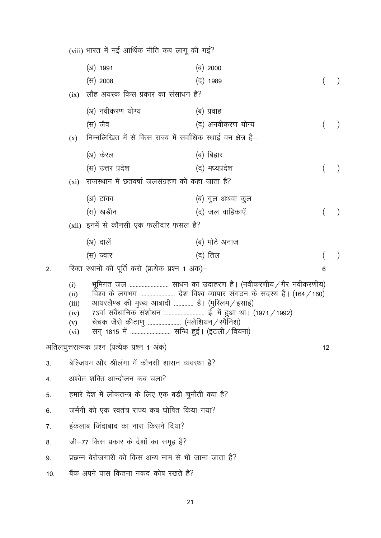|     |                                                       | (viii) भारत में नई आर्थिक नीति कब लागू की गई?                                                                                     |                                                                                                                            |    |  |  |
|-----|-------------------------------------------------------|-----------------------------------------------------------------------------------------------------------------------------------|----------------------------------------------------------------------------------------------------------------------------|----|--|--|
|     |                                                       | (अ) 1991                                                                                                                          | (ब) 2000                                                                                                                   |    |  |  |
|     |                                                       | (स) 2008                                                                                                                          | (द) 1989                                                                                                                   |    |  |  |
|     | (ix)                                                  | लौह अयस्क किस प्रकार का संसाधन है?                                                                                                |                                                                                                                            |    |  |  |
|     |                                                       | (अ) नवीकरण योग्य                                                                                                                  | (ब) प्रवाह                                                                                                                 |    |  |  |
|     |                                                       | (स) जैव                                                                                                                           | (द) अनवीकरण योग्य                                                                                                          |    |  |  |
|     | (x)                                                   | निम्नलिखित में से किस राज्य में सर्वाधिक स्थाई वन क्षेत्र है–                                                                     |                                                                                                                            |    |  |  |
|     |                                                       | (अ) केरल                                                                                                                          | (ब) बिहार                                                                                                                  |    |  |  |
|     |                                                       | (स) उत्तर प्रदेश                                                                                                                  | (द) मध्यप्रदेश                                                                                                             |    |  |  |
|     | $(x_i)$                                               | राजस्थान में छतवर्षा जलसंग्रहण को कहा जाता है?                                                                                    |                                                                                                                            |    |  |  |
|     |                                                       | (अ) टांका                                                                                                                         | (ब) गुल अथवा कुल                                                                                                           |    |  |  |
|     |                                                       | (स) खडीन                                                                                                                          | (द) जल वाहिकाएँ                                                                                                            |    |  |  |
|     |                                                       | (xii) इनमें से कौनसी एक फलीदार फसल है?                                                                                            |                                                                                                                            |    |  |  |
|     |                                                       | (अ) दालें                                                                                                                         | (ब) मोटे अनाज                                                                                                              |    |  |  |
|     |                                                       | (स) ज्वार                                                                                                                         | (द) तिल                                                                                                                    |    |  |  |
| 2.  |                                                       | रिक्त स्थानों की पूर्ति करों (प्रत्येक प्रश्न 1 अंक)–                                                                             |                                                                                                                            | 6  |  |  |
|     | (i)<br>(ii)<br>(iii)<br>(iv)<br>(v)<br>(vi)           | आयरलैण्ड की मुख्य आबादी  है। (मुस्लिम ⁄ इसाई)<br>चेचक जैसे कीटाणु  (मलेशियन / स्पैनिश)<br>सन् 1815 में  सन्धि हुई। (इटली ⁄ वियना) | भूमिगत जल  साधन का उदाहरण है। (नवीकरणीय / गैर नवीकरणीय)<br>विश्व के लगभग  देश विश्व व्यापार संगठन के सदस्य है। (164 / 160) |    |  |  |
|     |                                                       | अतिलघुत्तरात्मक प्रश्न (प्रत्येक प्रश्न 1 अंक)                                                                                    |                                                                                                                            | 12 |  |  |
| 3.  |                                                       | बेल्जियम और श्रीलंगा में कौनसी शासन व्यवस्था है?                                                                                  |                                                                                                                            |    |  |  |
| 4.  |                                                       | अश्वेत शक्ति आन्दोलन कब चला?                                                                                                      |                                                                                                                            |    |  |  |
| 5.  |                                                       | हमारे देश में लोकतन्त्र के लिए एक बड़ी चुनौती क्या है?                                                                            |                                                                                                                            |    |  |  |
| 6.  |                                                       | जर्मनी को एक स्वतंत्र राज्य कब घोषित किया गया?                                                                                    |                                                                                                                            |    |  |  |
| 7.  | इंकलाब जिंदाबाद का नारा किसने दिया?                   |                                                                                                                                   |                                                                                                                            |    |  |  |
| 8.  | जी–77 किस प्रकार के देशों का समूह है?                 |                                                                                                                                   |                                                                                                                            |    |  |  |
| 9.  | प्रछन्न बेरोजगारी को किस अन्य नाम से भी जाना जाता है? |                                                                                                                                   |                                                                                                                            |    |  |  |
| 10. | बैंक अपने पास कितना नकद कोष रखते है?                  |                                                                                                                                   |                                                                                                                            |    |  |  |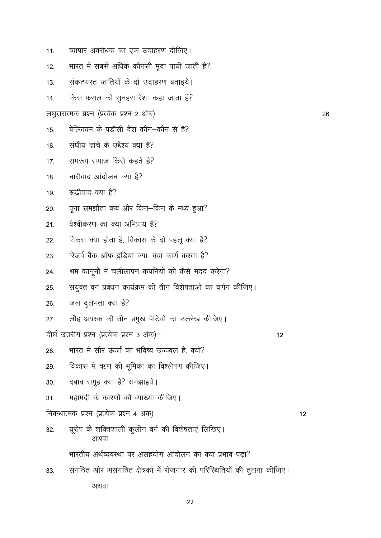| 11.                                        | व्यापार अवरोधक का एक उदाहरण दीजिए।                                      |  |  |  |  |
|--------------------------------------------|-------------------------------------------------------------------------|--|--|--|--|
|                                            |                                                                         |  |  |  |  |
| 12.                                        | भारत में सबसे अधिक कौनसी मृदा पायी जाती है?                             |  |  |  |  |
| 13.                                        | संकटग्रस्त जातियों के दो उदाहरण बताइये।                                 |  |  |  |  |
| 14.                                        | किस फसल को सुनहरा रेशा कहा जाता है?                                     |  |  |  |  |
|                                            | लघुत्तरात्मक प्रश्न (प्रत्येक प्रश्न 2 अंक)—                            |  |  |  |  |
| 15.                                        | बेल्जियम के पड़ौसी देश कौन–कौन से है?                                   |  |  |  |  |
| 16.                                        | संघीय ढांचे के उद्देश्य क्या है?                                        |  |  |  |  |
| 17.                                        | समरूप समाज किसे कहते है?                                                |  |  |  |  |
| 18.                                        | नारीवाद आंदोलन क्या है?                                                 |  |  |  |  |
| 19.                                        | रूढ़ीवाद क्या है?                                                       |  |  |  |  |
| 20.                                        | पूना समझौता कब और किन–किन के मध्य हुआ?                                  |  |  |  |  |
| 21.                                        | वैश्वीकरण का क्या अभिप्राय है?                                          |  |  |  |  |
| 22.                                        | विकस क्या होता है, विकास के दो पहलू क्या है?                            |  |  |  |  |
| 23.                                        | रिजर्व बैंक ऑफ इंडिया क्या–क्या कार्य करता है?                          |  |  |  |  |
| 24.                                        | श्रम कानूनों में चलीलापन कंपनियों को कैसे मदद करेगा?                    |  |  |  |  |
| 25.                                        | संयुक्त वन प्रबंधन कार्यक्रम की तीन विशेषताओं का वर्णन कीजिए।           |  |  |  |  |
| 26.                                        | जल दुर्लभता क्या है?                                                    |  |  |  |  |
| 27.                                        | लौह अयस्क की तीन प्रमुख पेटियों का उल्लेख कीजिए।                        |  |  |  |  |
|                                            | दीर्घ उत्तरीय प्रश्न (प्रत्येक प्रश्न 3 अंक)—<br>12                     |  |  |  |  |
| 28.                                        | भारत में सौर ऊर्जा का भविष्य उज्ज्वल है, क्यों?                         |  |  |  |  |
| 29.                                        | विकास में ऋण की भूमिका का विश्लेषण कीजिए।                               |  |  |  |  |
| 30.                                        | दबाव समूह क्या है? समझाइये।                                             |  |  |  |  |
| 31.                                        | महामंदी के कारणों की व्याख्या कीजिए।                                    |  |  |  |  |
| निबन्धात्मक प्रश्न (प्रत्येक प्रश्न 4 अंक) |                                                                         |  |  |  |  |
| 32.                                        | यूरोप के शक्तिशाली कुलीन वर्ग की विशेषताएं लिखिए।<br>अथवा               |  |  |  |  |
|                                            | भारतीय अर्थव्यवस्था पर असहयोग आंदोलन का क्या प्रभाव पड़ा?               |  |  |  |  |
| 33.                                        | संगठित और असंगठित क्षेत्रकों में रोजगार की परिस्थितियों की तुलना कीजिए। |  |  |  |  |

अथवा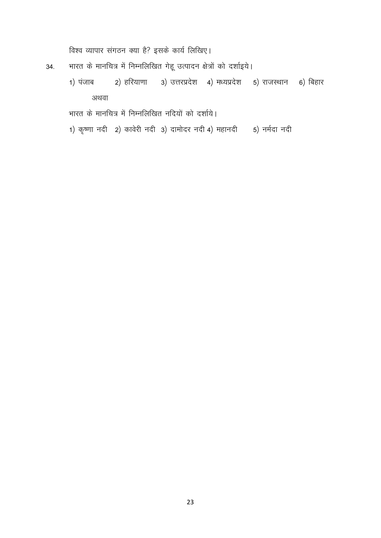विश्व व्यापार संगठन क्या है? इसके कार्य लिखिए।

- भारत के मानचित्र में निम्नलिखित गेहू उत्पादन क्षेत्रों को दर्शाइये। 34.
	- 1) पंजाब 2) हरियाणा 3) उत्तरप्रदेश 4) मध्यप्रदेश 5) राजस्थान 6) बिहार अथवा

भारत के मानचित्र में निम्नलिखित नदियों को दर्शाये।

1) कृष्णा नदी 2) कावेरी नदी 3) दामोदर नदी 4) महानदी 5) नर्मदा नदी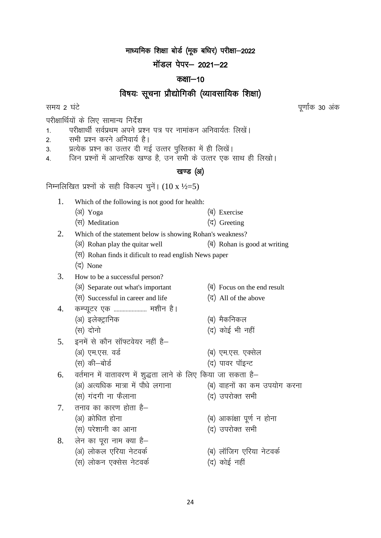माध्यमिक शिक्षा बोर्ड (मूक बधिर) परीक्षा-2022

## मॉडल पेपर $-$  2021 $-$ 22

### कक्षा $-10$

# विषयः सूचना प्रौद्योगिकी (व्यावसायिक शिक्षा)

परीक्षार्थियों के लिए सामान्य निर्देश

- 1. परीक्षार्थी सर्वप्रथम अपने प्रश्न पत्र पर नामांकन अनिवार्यतः लिखें।
- 2. सभी प्रश्न करने अनिवार्य है।
- 3. प्रत्येक प्रश्न का उत्तर दी गई उत्तर पुस्तिका में ही लिखें।
- 4. जिन प्रश्नों में आन्तरिक खण्ड है, उन सभी के उत्तर एक साथ ही लिखो।

### खण्ड (अ)

निम्नलिखित प्रश्नों के सही विकल्प चुनें।  $(10 \text{ x } \frac{1}{2} = 5)$ 

- 1. Which of the following is not good for health:
	- $(\text{3})$  Yoga  $(\text{5})$  Exercise
	- $(\vec{\tau})$  Meditation  $(\vec{\tau})$  Greeting
- 2. Which of the statement below is showing Rohan's weakness?
	- $(\text{3})$  Rohan play the quitar well  $(\text{3})$  Rohan is good at writing
		- ¼l½ Rohan finds it dificult to read english News paper
		- (द) None
- 3. How to be a successful person?
	- ( $\frac{3}{3}$ ) Separate out what's important  $\frac{3}{3}$  Focus on the end result
	- $(\forall$ l $)$  Successful in career and life  $(\forall$ ) All of the above
- 4. कम्प्यूटर एक ........................ मशीन है।
	- ¼v½ bysDVªkfud ¼c½ eSdfudy
	-
- $5.$   $5\overline{5}$  हुनमें से कौन सॉफ्टवेयर नहीं है–
	- (अ) एम.एस. वर्ड<br>ब) एम.एस. वर्ड
		- (स) की—बोर्ड
- 6. वर्तमान में वातावरण में शुद्धता लाने के लिए किया जा सकता है–
	- (अ) अत्यधिक मात्रा में पौधे लगाना (ब) वाहनों का कम उपयोग करना
	- (स) गंदगी ना फैलाना खिल था (द) उपरोक्त सभी
- $7.$  तनाव का कारण होता है $-$ 
	-
	- (स) परेशानी का आना (द) उपरोक्त सभी
- $8.$  लेन का पूरा नाम क्या है-
	- (अ) लोकल एरिया नेटवर्क (ब) लॉजिग एरिया नेटवर्क
	- (स) लोकन एक्सेस नेटवर्क (द) कोई नहीं
- 
- 
- 
- ¼l½ nksuks ¼n½ dksbZ Hkh ugha
	-
	-
	- -
		-
- ¼v½ Øksf/kr gksuk ¼c½ vkdka{kk iw.kZ u gksuk
	-
	-
	-

समय 2 घंटे किया है। सामग्रीहरूको अधिकारिक विकास करते हैं। सामग्रीहरूको अधिकारिक अधिकारिक अधिकारिक अधिकारिक अधि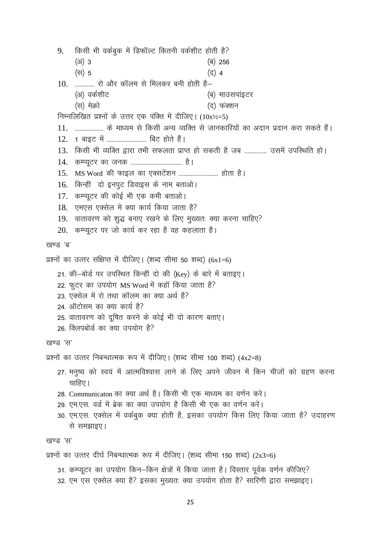किसी भी वर्कबुक में डिफॉल्ट कितनी वर्कशीट होती है? 9.  $(3)$  3 (ৰ) 256 (स) 5 (द) 4  $10.$  .............. रो और कॉलम से मिलकर बनी होती है– (अ) वर्कशीट (ब) माउसपाइटर (स) मेक्रो (द) फंक्शन निम्नलिखित प्रश्नों के उत्तर एक पंक्ति में दीजिए।  $(10x^{1/2}=5)$ 11. ................... के माध्यम से किसी अन्य व्यक्ति से जानकारियों का अदान प्रदान करा सकते हैं। 12. 1 बाइट में ............................ बिट होते हैं। 13. किसी भी व्यक्ति द्वारा तभी सफलता प्राप्त हो सकती है जब ............... उसमें उपस्थिति हो। 16. किन्हीं दो इनपुट डिवाइस के नाम बताओ। 17. कम्प्यूटर की कोई भी एक कमी बताओ। 18. एमएस एक्सेल में क्या कार्य किया जाता है? 19. वातावरण को शुद्ध बनाए रखने के लिए मुख्यतः क्या करना चाहिए? 20. कम्प्यूटर पर जो कार्य कर रहा है वह कहलाता है। खण्ड 'ब' प्रश्नों का उत्तर संक्षिप्त में दीजिए। (शब्द सीमा 50 शब्द)  $(6x1=6)$ 21. की-बोर्ड पर उपस्थित किन्हीं दो की (Key) के बारे में बताइए। 22. फूटर का उपयोग MS Word में कहाँ किया जाता है? 23. एक्सेल में रो तथा कॉलम का क्या अर्थ है? 24. ऑटोसम का क्या कार्य है? 25. वातावरण को दूषित करने के कोई भी दो कारण बताए। 26. क्लिपबोर्ड का क्या उपयोग है? खण्ड 'स' प्रश्नों का उत्तर निबन्धात्मक रूप में दीजिए। (शब्द सीमा 100 शब्द)  $(4x2=8)$ 27. मनुष्य को स्वयं में आत्मविश्वास लाने के लिए अपने जीवन में किन चीजों को ग्रहण करना चाहिए। 28. Communicaton का क्या अर्थ है। किसी भी एक माध्यम का वर्णन करे। 29. एम.एस. वर्ड में ब्रेक का क्या उपयोग है किसी भी एक का वर्णन करें। 30. एम.एस. एक्सेल में वर्कबुक क्या होती है, इसका उपयोग किस लिए किया जाता है? उदाहरण से समझाइए। खण्ड 'स' प्रश्नों का उत्तर दीर्घ निबन्धात्मक रूप में दीजिए। (शब्द सीमा 150 शब्द)  $(2x3=6)$ 31. कम्प्यूटर का उपयोग किन–किन क्षेत्रों में किया जाता है। विस्तार पूर्वक वर्णन कीजिए? 32. एम एस एक्सेल क्या है? इसका मुख्यतः क्या उपयोग होता है? सारिणी द्वारा समझाइए।

25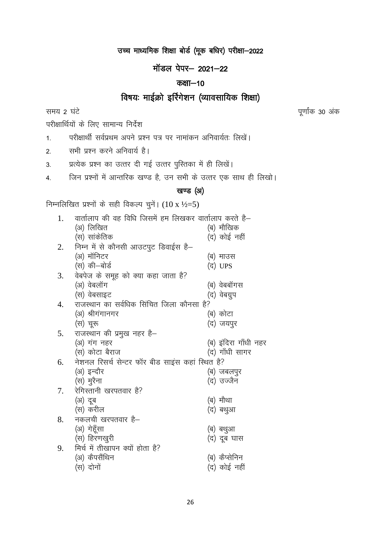# उच्च माध्यमिक शिक्षा बोर्ड (मूक बधिर) परीक्षा-2022

# मॉडल पेपर- 2021-22

## कक्षा $-10$

# विषयः माईक्रो इर्रिगेशन (व्यावसायिक शिक्षा)

समय 2 घंटे

पूर्णांक 30 अंक

परीक्षार्थियों के लिए सामान्य निर्देश

परीक्षार्थी सर्वप्रथम अपने प्रश्न पत्र पर नामांकन अनिवार्यतः लिखें।  $1<sub>1</sub>$ 

सभी प्रश्न करने अनिवार्य है।  $2<sup>1</sup>$ 

प्रत्येक प्रश्न का उत्तर दी गई उत्तर पुस्तिका में ही लिखें।  $3<sub>1</sub>$ 

जिन प्रश्नों में आन्तरिक खण्ड है, उन सभी के उत्तर एक साथ ही लिखो।  $\overline{4}$ .

## खण्ड (अ)

निम्नलिखित प्रश्नों के सही विकल्प चुनें।  $(10 \text{ x } \frac{1}{2} = 5)$ 

| 1. | वार्तालाप की वह विधि जिसमें हम लिखकर वार्तालाप करते है— |                      |
|----|---------------------------------------------------------|----------------------|
|    | (अ) लिखित                                               | (ब) मौखिक            |
|    | (स) सांकेतिक                                            | (द) कोई नहीं         |
| 2. | निम्न में से कौनसी आउटपुट डिवाईस है–                    |                      |
|    | (अ) मॉनिटर                                              | (ब) माउस             |
|    | (स) की–बोर्ड                                            | (द) UPS              |
| 3. | वेबपेज के समूह को क्या कहा जाता है?                     |                      |
|    | (अ) वेबलॉग                                              | (ब) वेबबॉगस          |
|    | (स) वेबसाइट                                             | (द) वेबग्रुप         |
| 4. | राजस्थान का सर्वधिक सिंचित जिला कौनसा है?               |                      |
|    | (अ) श्रीगंगानगर                                         | (ब) कोटा             |
|    | (स) चूरू                                                | (द) जयपुर            |
| 5. | राजस्थान की प्रमुख नहर है-                              |                      |
|    | (अ) गंग नहर                                             | (ब) इंदिरा गाँधी नहर |
|    | (स) कोटा बैराज                                          | (द) गाँधी सागर       |
| 6. | नेशनल रिसर्च सेन्टर फॉर बीड साइंस कहां स्थित है?        |                      |
|    | (अ) इन्दौर                                              | (ब) जबलपुर           |
|    | (स) मुरैना                                              | (द) उज्जैन           |
| 7. | रेगिस्तानी खरपतवार है?                                  |                      |
|    | (अ) दूब                                                 | (ब) मौथा             |
|    | (स) करील                                                | (द) बथुआ             |
| 8. | नकलची खरपतवार है–                                       |                      |
|    | (अ) गेहूँसा                                             | (ब) बथुआ             |
|    | (स) हिरणखुरी                                            | (द) दूब घास          |
| 9. | मिर्च में तीखापन क्यों होता है?                         |                      |
|    | (अ) कैपसैंथिन                                           | (ब) कैप्सेनिन        |
|    | (स) दोनों                                               | (द) कोई नहीं         |